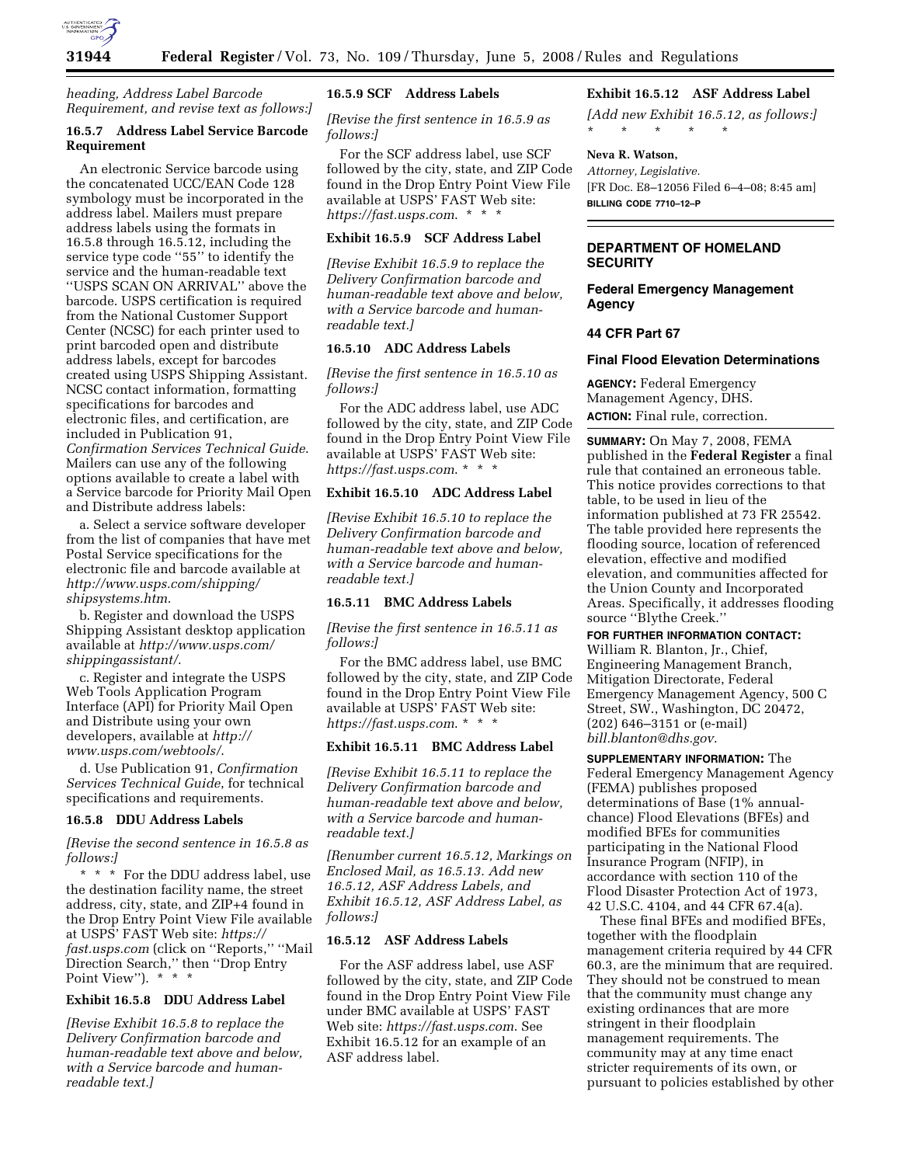

*heading, Address Label Barcode Requirement, and revise text as follows:]* 

# **16.5.7 Address Label Service Barcode Requirement**

An electronic Service barcode using the concatenated UCC/EAN Code 128 symbology must be incorporated in the address label. Mailers must prepare address labels using the formats in 16.5.8 through 16.5.12, including the service type code ''55'' to identify the service and the human-readable text ''USPS SCAN ON ARRIVAL'' above the barcode. USPS certification is required from the National Customer Support Center (NCSC) for each printer used to print barcoded open and distribute address labels, except for barcodes created using USPS Shipping Assistant. NCSC contact information, formatting specifications for barcodes and electronic files, and certification, are included in Publication 91, *Confirmation Services Technical Guide*. Mailers can use any of the following options available to create a label with a Service barcode for Priority Mail Open and Distribute address labels:

a. Select a service software developer from the list of companies that have met Postal Service specifications for the electronic file and barcode available at *http://www.usps.com/shipping/ shipsystems.htm*.

b. Register and download the USPS Shipping Assistant desktop application available at *http://www.usps.com/ shippingassistant/*.

c. Register and integrate the USPS Web Tools Application Program Interface (API) for Priority Mail Open and Distribute using your own developers, available at *http:// www.usps.com/webtools/*.

d. Use Publication 91, *Confirmation Services Technical Guide*, for technical specifications and requirements.

#### **16.5.8 DDU Address Labels**

*[Revise the second sentence in 16.5.8 as follows:]* 

\* \* \* For the DDU address label, use the destination facility name, the street address, city, state, and ZIP+4 found in the Drop Entry Point View File available at USPS' FAST Web site: *https:// fast.usps.com* (click on ''Reports,'' ''Mail Direction Search,'' then ''Drop Entry Point View"). \* \* \*

# **Exhibit 16.5.8 DDU Address Label**

*[Revise Exhibit 16.5.8 to replace the Delivery Confirmation barcode and human-readable text above and below, with a Service barcode and humanreadable text.]* 

#### **16.5.9 SCF Address Labels**

*[Revise the first sentence in 16.5.9 as follows:]* 

For the SCF address label, use SCF followed by the city, state, and ZIP Code found in the Drop Entry Point View File available at USPS' FAST Web site: *https://fast.usps.com*. \* \* \*

# **Exhibit 16.5.9 SCF Address Label**

*[Revise Exhibit 16.5.9 to replace the Delivery Confirmation barcode and human-readable text above and below, with a Service barcode and humanreadable text.]* 

#### **16.5.10 ADC Address Labels**

*[Revise the first sentence in 16.5.10 as follows:]* 

For the ADC address label, use ADC followed by the city, state, and ZIP Code found in the Drop Entry Point View File available at USPS' FAST Web site: *https://fast.usps.com*. \* \* \*

# **Exhibit 16.5.10 ADC Address Label**

*[Revise Exhibit 16.5.10 to replace the Delivery Confirmation barcode and human-readable text above and below, with a Service barcode and humanreadable text.]* 

#### **16.5.11 BMC Address Labels**

*[Revise the first sentence in 16.5.11 as follows:]* 

For the BMC address label, use BMC followed by the city, state, and ZIP Code found in the Drop Entry Point View File available at USPS' FAST Web site: *https://fast.usps.com*. \* \* \*

### **Exhibit 16.5.11 BMC Address Label**

*[Revise Exhibit 16.5.11 to replace the Delivery Confirmation barcode and human-readable text above and below, with a Service barcode and humanreadable text.]* 

*[Renumber current 16.5.12, Markings on Enclosed Mail, as 16.5.13. Add new 16.5.12, ASF Address Labels, and Exhibit 16.5.12, ASF Address Label, as follows:]* 

# **16.5.12 ASF Address Labels**

For the ASF address label, use ASF followed by the city, state, and ZIP Code found in the Drop Entry Point View File under BMC available at USPS' FAST Web site: *https://fast.usps.com*. See Exhibit 16.5.12 for an example of an ASF address label.

# **Exhibit 16.5.12 ASF Address Label**

*[Add new Exhibit 16.5.12, as follows:]*  \* \* \* \* \*

### **Neva R. Watson,**

*Attorney, Legislative.*  [FR Doc. E8–12056 Filed 6–4–08; 8:45 am] **BILLING CODE 7710–12–P** 

### **DEPARTMENT OF HOMELAND SECURITY**

# **Federal Emergency Management Agency**

### **44 CFR Part 67**

#### **Final Flood Elevation Determinations**

**AGENCY:** Federal Emergency Management Agency, DHS. **ACTION:** Final rule, correction.

**SUMMARY:** On May 7, 2008, FEMA published in the **Federal Register** a final rule that contained an erroneous table. This notice provides corrections to that table, to be used in lieu of the information published at 73 FR 25542. The table provided here represents the flooding source, location of referenced elevation, effective and modified elevation, and communities affected for the Union County and Incorporated Areas. Specifically, it addresses flooding source ''Blythe Creek.''

**FOR FURTHER INFORMATION CONTACT:**  William R. Blanton, Jr., Chief, Engineering Management Branch, Mitigation Directorate, Federal Emergency Management Agency, 500 C Street, SW., Washington, DC 20472, (202) 646–3151 or (e-mail) *bill.blanton@dhs.gov*.

**SUPPLEMENTARY INFORMATION:** The Federal Emergency Management Agency (FEMA) publishes proposed determinations of Base (1% annualchance) Flood Elevations (BFEs) and modified BFEs for communities participating in the National Flood Insurance Program (NFIP), in accordance with section 110 of the Flood Disaster Protection Act of 1973, 42 U.S.C. 4104, and 44 CFR 67.4(a).

These final BFEs and modified BFEs, together with the floodplain management criteria required by 44 CFR 60.3, are the minimum that are required. They should not be construed to mean that the community must change any existing ordinances that are more stringent in their floodplain management requirements. The community may at any time enact stricter requirements of its own, or pursuant to policies established by other